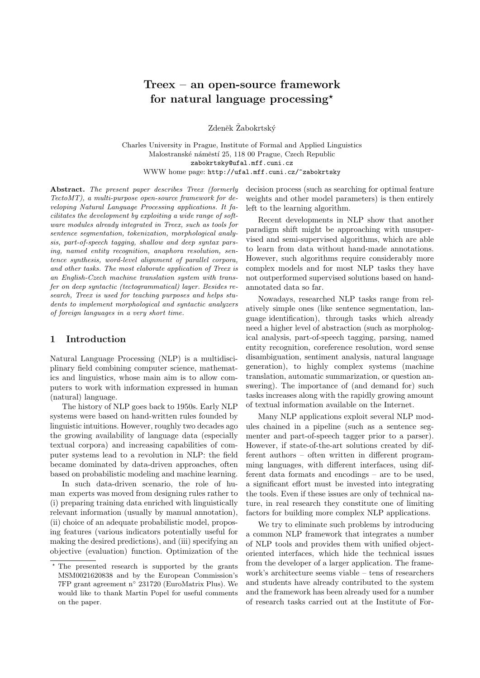# Treex – an open-source framework for natural language processing?

Zdeněk Žabokrtský

Charles University in Prague, Institute of Formal and Applied Linguistics Malostranské náměstí 25, 118 00 Prague, Czech Republic zabokrtsky@ufal.mff.cuni.cz WWW home page: http://ufal.mff.cuni.cz/~zabokrtsky

Abstract. The present paper describes Treex (formerly TectoMT), a multi-purpose open-source framework for developing Natural Language Processing applications. It facilitates the development by exploiting a wide range of software modules already integrated in Treex, such as tools for sentence segmentation, tokenization, morphological analysis, part-of-speech tagging, shallow and deep syntax parsing, named entity recognition, anaphora resolution, sentence synthesis, word-level alignment of parallel corpora, and other tasks. The most elaborate application of Treex is an English-Czech machine translation system with transfer on deep syntactic (tectogrammatical) layer. Besides research, Treex is used for teaching purposes and helps students to implement morphological and syntactic analyzers of foreign languages in a very short time.

# 1 Introduction

Natural Language Processing (NLP) is a multidisciplinary field combining computer science, mathematics and linguistics, whose main aim is to allow computers to work with information expressed in human (natural) language.

The history of NLP goes back to 1950s. Early NLP systems were based on hand-written rules founded by linguistic intuitions. However, roughly two decades ago the growing availability of language data (especially textual corpora) and increasing capabilities of computer systems lead to a revolution in NLP: the field became dominated by data-driven approaches, often based on probabilistic modeling and machine learning.

In such data-driven scenario, the role of human experts was moved from designing rules rather to (i) preparing training data enriched with linguistically relevant information (usually by manual annotation), (ii) choice of an adequate probabilistic model, proposing features (various indicators potentially useful for making the desired predictions), and (iii) specifying an objective (evaluation) function. Optimization of the

decision process (such as searching for optimal feature weights and other model parameters) is then entirely left to the learning algorithm.

Recent developments in NLP show that another paradigm shift might be approaching with unsupervised and semi-supervised algorithms, which are able to learn from data without hand-made annotations. However, such algorithms require considerably more complex models and for most NLP tasks they have not outperformed supervised solutions based on handannotated data so far.

Nowadays, researched NLP tasks range from relatively simple ones (like sentence segmentation, language identification), through tasks which already need a higher level of abstraction (such as morphological analysis, part-of-speech tagging, parsing, named entity recognition, coreference resolution, word sense disambiguation, sentiment analysis, natural language generation), to highly complex systems (machine translation, automatic summarization, or question answering). The importance of (and demand for) such tasks increases along with the rapidly growing amount of textual information available on the Internet.

Many NLP applications exploit several NLP modules chained in a pipeline (such as a sentence segmenter and part-of-speech tagger prior to a parser). However, if state-of-the-art solutions created by different authors – often written in different programming languages, with different interfaces, using different data formats and encodings – are to be used, a significant effort must be invested into integrating the tools. Even if these issues are only of technical nature, in real research they constitute one of limiting factors for building more complex NLP applications.

We try to eliminate such problems by introducing a common NLP framework that integrates a number of NLP tools and provides them with unified objectoriented interfaces, which hide the technical issues from the developer of a larger application. The framework's architecture seems viable – tens of researchers and students have already contributed to the system and the framework has been already used for a number of research tasks carried out at the Institute of For-

<sup>?</sup> The presented research is supported by the grants MSM0021620838 and by the European Commission's 7FP grant agreement n◦ 231720 (EuroMatrix Plus). We would like to thank Martin Popel for useful comments on the paper.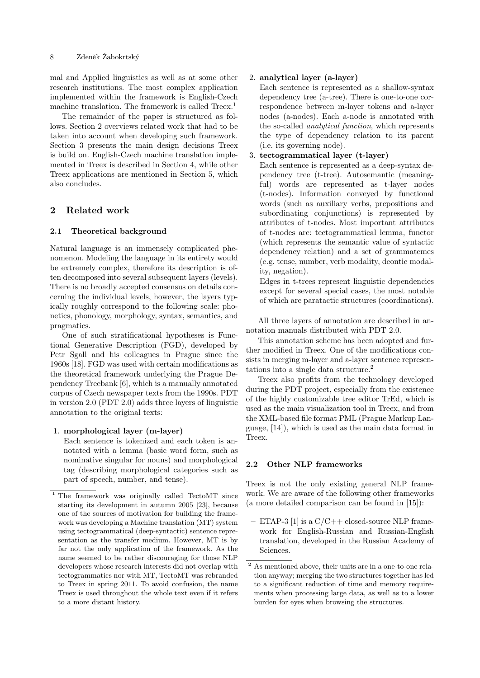mal and Applied linguistics as well as at some other research institutions. The most complex application implemented within the framework is English-Czech machine translation. The framework is called Treex.<sup>1</sup>

The remainder of the paper is structured as follows. Section 2 overviews related work that had to be taken into account when developing such framework. Section 3 presents the main design decisions Treex is build on. English-Czech machine translation implemented in Treex is described in Section 4, while other Treex applications are mentioned in Section 5, which also concludes.

# 2 Related work

## 2.1 Theoretical background

Natural language is an immensely complicated phenomenon. Modeling the language in its entirety would be extremely complex, therefore its description is often decomposed into several subsequent layers (levels). There is no broadly accepted consensus on details concerning the individual levels, however, the layers typically roughly correspond to the following scale: phonetics, phonology, morphology, syntax, semantics, and pragmatics.

One of such stratificational hypotheses is Functional Generative Description (FGD), developed by Petr Sgall and his colleagues in Prague since the 1960s [18]. FGD was used with certain modifications as the theoretical framework underlying the Prague Dependency Treebank [6], which is a manually annotated corpus of Czech newspaper texts from the 1990s. PDT in version 2.0 (PDT 2.0) adds three layers of linguistic annotation to the original texts:

### 1. morphological layer (m-layer)

Each sentence is tokenized and each token is annotated with a lemma (basic word form, such as nominative singular for nouns) and morphological tag (describing morphological categories such as part of speech, number, and tense).

### 2. analytical layer (a-layer)

Each sentence is represented as a shallow-syntax dependency tree (a-tree). There is one-to-one correspondence between m-layer tokens and a-layer nodes (a-nodes). Each a-node is annotated with the so-called analytical function, which represents the type of dependency relation to its parent (i.e. its governing node).

### 3. tectogrammatical layer (t-layer)

Each sentence is represented as a deep-syntax dependency tree (t-tree). Autosemantic (meaningful) words are represented as t-layer nodes (t-nodes). Information conveyed by functional words (such as auxiliary verbs, prepositions and subordinating conjunctions) is represented by attributes of t-nodes. Most important attributes of t-nodes are: tectogrammatical lemma, functor (which represents the semantic value of syntactic dependency relation) and a set of grammatemes (e.g. tense, number, verb modality, deontic modality, negation).

Edges in t-trees represent linguistic dependencies except for several special cases, the most notable of which are paratactic structures (coordinations).

All three layers of annotation are described in annotation manuals distributed with PDT 2.0.

This annotation scheme has been adopted and further modified in Treex. One of the modifications consists in merging m-layer and a-layer sentence representations into a single data structure.<sup>2</sup>

Treex also profits from the technology developed during the PDT project, especially from the existence of the highly customizable tree editor TrEd, which is used as the main visualization tool in Treex, and from the XML-based file format PML (Prague Markup Language, [14]), which is used as the main data format in Treex.

# 2.2 Other NLP frameworks

Treex is not the only existing general NLP framework. We are aware of the following other frameworks (a more detailed comparison can be found in [15]):

 $-$  ETAP-3 [1] is a  $C/C++$  closed-source NLP framework for English-Russian and Russian-English translation, developed in the Russian Academy of Sciences.

<sup>1</sup> The framework was originally called TectoMT since starting its development in autumn 2005 [23], because one of the sources of motivation for building the framework was developing a Machine translation (MT) system using tectogrammatical (deep-syntactic) sentence representation as the transfer medium. However, MT is by far not the only application of the framework. As the name seemed to be rather discouraging for those NLP developers whose research interests did not overlap with tectogrammatics nor with MT, TectoMT was rebranded to Treex in spring 2011. To avoid confusion, the name Treex is used throughout the whole text even if it refers to a more distant history.

<sup>2</sup> As mentioned above, their units are in a one-to-one relation anyway; merging the two structures together has led to a significant reduction of time and memory requirements when processing large data, as well as to a lower burden for eyes when browsing the structures.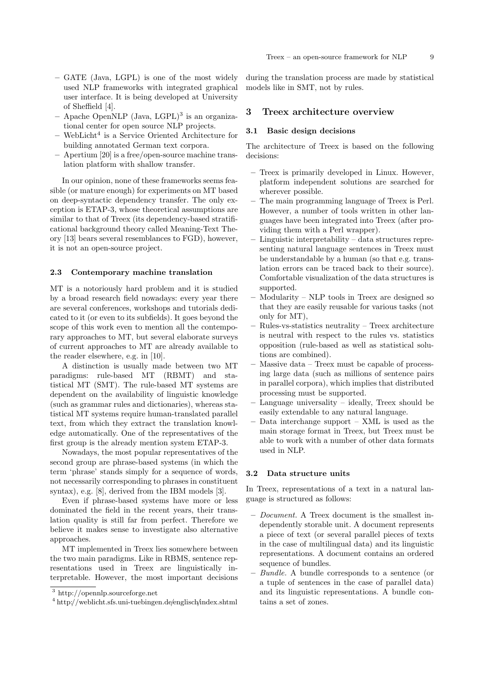- GATE (Java, LGPL) is one of the most widely used NLP frameworks with integrated graphical user interface. It is being developed at University of Sheffield [4].
- Apache OpenNLP (Java, LGPL)<sup>3</sup> is an organizational center for open source NLP projects.
- WebLicht<sup>4</sup> is a Service Oriented Architecture for building annotated German text corpora.
- Apertium [20] is a free/open-source machine translation platform with shallow transfer.

In our opinion, none of these frameworks seems feasible (or mature enough) for experiments on MT based on deep-syntactic dependency transfer. The only exception is ETAP-3, whose theoretical assumptions are similar to that of Treex (its dependency-based stratificational background theory called Meaning-Text Theory [13] bears several resemblances to FGD), however, it is not an open-source project.

#### 2.3 Contemporary machine translation

MT is a notoriously hard problem and it is studied by a broad research field nowadays: every year there are several conferences, workshops and tutorials dedicated to it (or even to its subfields). It goes beyond the scope of this work even to mention all the contemporary approaches to MT, but several elaborate surveys of current approaches to MT are already available to the reader elsewhere, e.g. in [10].

A distinction is usually made between two MT paradigms: rule-based MT (RBMT) and statistical MT (SMT). The rule-based MT systems are dependent on the availability of linguistic knowledge (such as grammar rules and dictionaries), whereas statistical MT systems require human-translated parallel text, from which they extract the translation knowledge automatically. One of the representatives of the first group is the already mention system ETAP-3.

Nowadays, the most popular representatives of the second group are phrase-based systems (in which the term 'phrase' stands simply for a sequence of words, not necessarily corresponding to phrases in constituent syntax), e.g. [8], derived from the IBM models [3].

Even if phrase-based systems have more or less dominated the field in the recent years, their translation quality is still far from perfect. Therefore we believe it makes sense to investigate also alternative approaches.

MT implemented in Treex lies somewhere between the two main paradigms. Like in RBMS, sentence representations used in Treex are linguistically interpretable. However, the most important decisions

during the translation process are made by statistical models like in SMT, not by rules.

### 3 Treex architecture overview

#### 3.1 Basic design decisions

The architecture of Treex is based on the following decisions:

- Treex is primarily developed in Linux. However, platform independent solutions are searched for wherever possible.
- The main programming language of Treex is Perl. However, a number of tools written in other languages have been integrated into Treex (after providing them with a Perl wrapper).
- Linguistic interpretability data structures representing natural language sentences in Treex must be understandable by a human (so that e.g. translation errors can be traced back to their source). Comfortable visualization of the data structures is supported.
- Modularity NLP tools in Treex are designed so that they are easily reusable for various tasks (not only for MT),
- Rules-vs-statistics neutrality Treex architecture is neutral with respect to the rules vs. statistics opposition (rule-based as well as statistical solutions are combined).
- Massive data Treex must be capable of processing large data (such as millions of sentence pairs in parallel corpora), which implies that distributed processing must be supported.
- Language universality ideally, Treex should be easily extendable to any natural language.
- Data interchange support XML is used as the main storage format in Treex, but Treex must be able to work with a number of other data formats used in NLP.

#### 3.2 Data structure units

In Treex, representations of a text in a natural language is structured as follows:

- Document. A Treex document is the smallest independently storable unit. A document represents a piece of text (or several parallel pieces of texts in the case of multilingual data) and its linguistic representations. A document contains an ordered sequence of bundles.
- Bundle. A bundle corresponds to a sentence (or a tuple of sentences in the case of parallel data) and its linguistic representations. A bundle contains a set of zones.

<sup>3</sup> http://opennlp.sourceforge.net

<sup>4</sup> http://weblicht.sfs.uni-tuebingen.de/englisch/index.shtml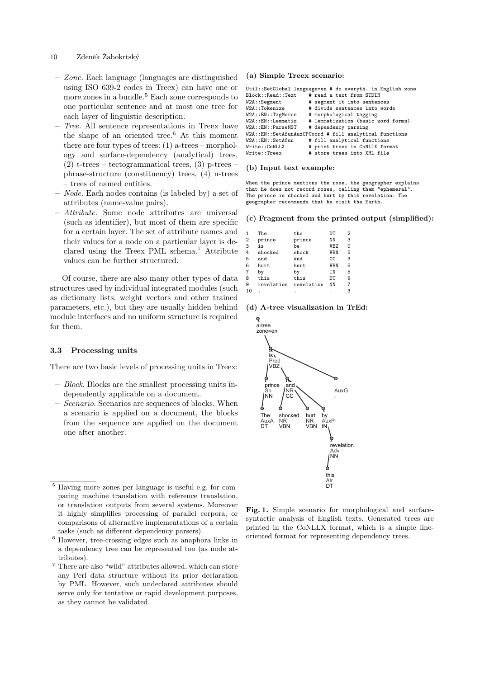# 10 Zdeněk Žabokrtský

- Zone. Each language (languages are distinguished using ISO 639-2 codes in Treex) can have one or more zones in a bundle.<sup>5</sup> Each zone corresponds to one particular sentence and at most one tree for each layer of linguistic description.
- Tree. All sentence representations in Treex have the shape of an oriented tree.<sup>6</sup> At this moment there are four types of trees:  $(1)$  a-trees – morphology and surface-dependency (analytical) trees,  $(2)$  t-trees – tectogrammatical trees,  $(3)$  p-trees – phrase-structure (constituency) trees, (4) n-trees – trees of named entities.
- Node. Each nodes contains (is labeled by) a set of attributes (name-value pairs).
- Attribute. Some node attributes are universal (such as identifier), but most of them are specific for a certain layer. The set of attribute names and their values for a node on a particular layer is declared using the Treex PML schema.<sup>7</sup> Attribute values can be further structured.

Of course, there are also many other types of data structures used by individual integrated modules (such as dictionary lists, weight vectors and other trained parameters, etc.), but they are usually hidden behind module interfaces and no uniform structure is required for them.

#### 3.3 Processing units

There are two basic levels of processing units in Treex:

- Block. Blocks are the smallest processing units independently applicable on a document.
- Scenario. Scenarios are sequences of blocks. When a scenario is applied on a document, the blocks from the sequence are applied on the document one after another.

### <sup>5</sup> Having more zones per language is useful e.g. for comparing machine translation with reference translation, or translation outputs from several systems. Moreover it highly simplifies processing of parallel corpora, or comparisons of alternative implementations of a certain tasks (such as different dependency parsers).

<sup>6</sup> However, tree-crossing edges such as anaphora links in a dependency tree can be represented too (as node attributes).

 $^7$  There are also "wild" attributes allowed, which can store any Perl data structure without its prior declaration by PML. However, such undeclared attributes should serve only for tentative or rapid development purposes, as they cannot be validated.

#### (a) Simple Treex scenario:

|                                                        | Util::SetGlobal language=en # do everyth. in English zone |  |  |  |
|--------------------------------------------------------|-----------------------------------------------------------|--|--|--|
| Block::Read::Text                                      | # read a text from STDIN                                  |  |  |  |
| $W2A:$ : Segment                                       | # segment it into sentences                               |  |  |  |
| W2A::Tokenize                                          | # divide sentences into words                             |  |  |  |
| $W2A$ :: $EN$ ::TagMorce                               | # morphological tagging                                   |  |  |  |
| $W2A$ :: $EN$ ::Lemmatiz                               | # lemmatization (basic word forms)                        |  |  |  |
| $W2A$ :: $EN$ :: $ParseMST$                            | # dependency parsing                                      |  |  |  |
| W2A::EN::SetAfunAuxCPCoord # fill analytical functions |                                                           |  |  |  |
| $W2A$ :: $EN$ :: $SetAfun$                             | # fill analytical functions                               |  |  |  |
| Write::CoNLLX                                          | # print trees in CoNLLX format                            |  |  |  |
| Write::Treex                                           | # store trees into XML file                               |  |  |  |

#### (b) Input text example:

When the prince mentions the rose, the geographer explains that he does not record roses, calling them "ephemeral". The prince is shocked and hurt by this revelation. The geographer recommends that he visit the Earth.

#### (c) Fragment from the printed output (simplified):

|                | The        | the        | DT         | 2 |
|----------------|------------|------------|------------|---|
| $\overline{2}$ | prince     | prince     | ΝN         | 3 |
| 3              | is         | be         | <b>VBZ</b> | 0 |
| 4              | shocked    | shock      | <b>VBN</b> | 5 |
| 5              | and        | and        | CC         | 3 |
| 6              | hurt       | hurt       | <b>VBN</b> | 5 |
| $\overline{7}$ | by         | by         | <b>IN</b>  | 5 |
| 8              | this       | this       | DT         | 9 |
| 9              | revelation | revelation | NN         | 7 |
| 10             |            |            |            | 3 |

#### (d) A-tree visualization in TrEd:



Fig. 1. Simple scenario for morphological and surfacesyntactic analysis of English texts. Generated trees are printed in the CoNLLX format, which is a simple lineoriented format for representing dependency trees.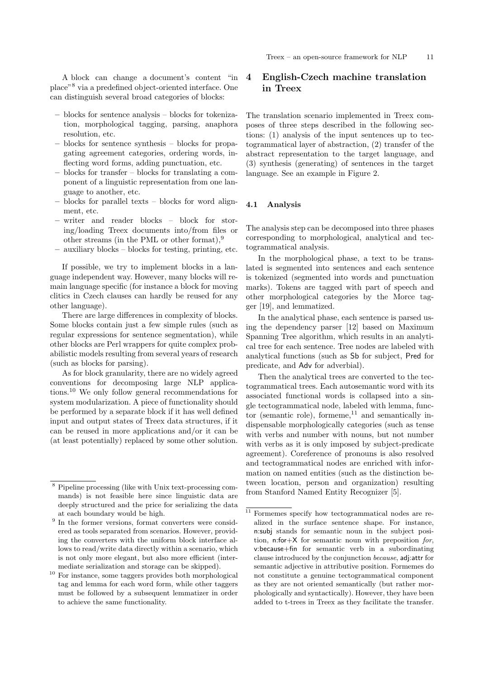A block can change a document's content "in place"<sup>8</sup> via a predefined object-oriented interface. One can distinguish several broad categories of blocks:

- blocks for sentence analysis blocks for tokenization, morphological tagging, parsing, anaphora resolution, etc.
- blocks for sentence synthesis blocks for propagating agreement categories, ordering words, inflecting word forms, adding punctuation, etc.
- blocks for transfer blocks for translating a component of a linguistic representation from one language to another, etc.
- blocks for parallel texts blocks for word alignment, etc.
- writer and reader blocks block for storing/loading Treex documents into/from files or other streams (in the PML or other format),<sup>9</sup>
- auxiliary blocks blocks for testing, printing, etc.

If possible, we try to implement blocks in a language independent way. However, many blocks will remain language specific (for instance a block for moving clitics in Czech clauses can hardly be reused for any other language).

There are large differences in complexity of blocks. Some blocks contain just a few simple rules (such as regular expressions for sentence segmentation), while other blocks are Perl wrappers for quite complex probabilistic models resulting from several years of research (such as blocks for parsing).

As for block granularity, there are no widely agreed conventions for decomposing large NLP applications.<sup>10</sup> We only follow general recommendations for system modularization. A piece of functionality should be performed by a separate block if it has well defined input and output states of Treex data structures, if it can be reused in more applications and/or it can be (at least potentially) replaced by some other solution.

# 4 English-Czech machine translation in Treex

The translation scenario implemented in Treex composes of three steps described in the following sections: (1) analysis of the input sentences up to tectogrammatical layer of abstraction, (2) transfer of the abstract representation to the target language, and (3) synthesis (generating) of sentences in the target language. See an example in Figure 2.

#### 4.1 Analysis

The analysis step can be decomposed into three phases corresponding to morphological, analytical and tectogrammatical analysis.

In the morphological phase, a text to be translated is segmented into sentences and each sentence is tokenized (segmented into words and punctuation marks). Tokens are tagged with part of speech and other morphological categories by the Morce tagger [19], and lemmatized.

In the analytical phase, each sentence is parsed using the dependency parser [12] based on Maximum Spanning Tree algorithm, which results in an analytical tree for each sentence. Tree nodes are labeled with analytical functions (such as Sb for subject, Pred for predicate, and Adv for adverbial).

Then the analytical trees are converted to the tectogrammatical trees. Each autosemantic word with its associated functional words is collapsed into a single tectogrammatical node, labeled with lemma, functor (semantic role), formeme, $11$  and semantically indispensable morphologically categories (such as tense with verbs and number with nouns, but not number with verbs as it is only imposed by subject-predicate agreement). Coreference of pronouns is also resolved and tectogrammatical nodes are enriched with information on named entities (such as the distinction between location, person and organization) resulting from Stanford Named Entity Recognizer [5].

<sup>8</sup> Pipeline processing (like with Unix text-processing commands) is not feasible here since linguistic data are deeply structured and the price for serializing the data at each boundary would be high.

<sup>&</sup>lt;sup>9</sup> In the former versions, format converters were considered as tools separated from scenarios. However, providing the converters with the uniform block interface allows to read/write data directly within a scenario, which is not only more elegant, but also more efficient (intermediate serialization and storage can be skipped).

 $^{10}$  For instance, some taggers provides both morphological tag and lemma for each word form, while other taggers must be followed by a subsequent lemmatizer in order to achieve the same functionality.

 $\overline{11}$  Formemes specify how tectogrammatical nodes are realized in the surface sentence shape. For instance, n:subj stands for semantic noun in the subject position, n:for $+X$  for semantic noun with preposition for, v:because+fin for semantic verb in a subordinating clause introduced by the conjunction because, adj:attr for semantic adjective in attributive position. Formemes do not constitute a genuine tectogrammatical component as they are not oriented semantically (but rather morphologically and syntactically). However, they have been added to t-trees in Treex as they facilitate the transfer.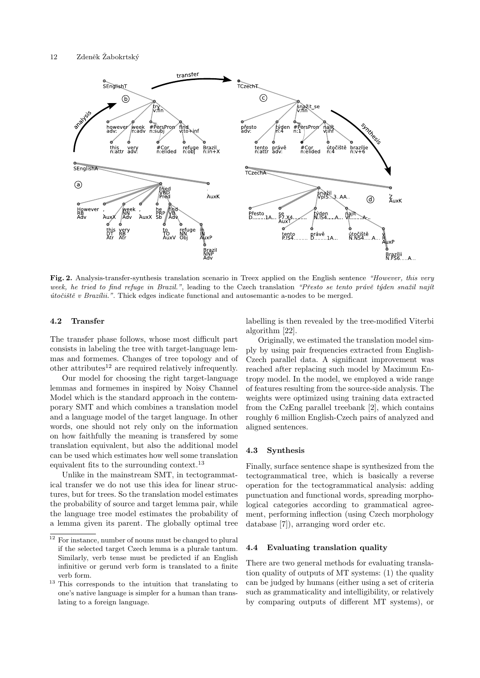

Fig. 2. Analysis-transfer-synthesis translation scenario in Treex applied on the English sentence "However, this very week, he tried to find refuge in Brazil.", leading to the Czech translation "Přesto se tento právě týden snažil najít  $\acute{u}to\check{c}i\check{s}t\check{e}v$  Brazílii.". Thick edges indicate functional and autosemantic a-nodes to be merged.

# 4.2 Transfer

The transfer phase follows, whose most difficult part consists in labeling the tree with target-language lemmas and formemes. Changes of tree topology and of other attributes $12$  are required relatively infrequently.

Our model for choosing the right target-language lemmas and formemes in inspired by Noisy Channel Model which is the standard approach in the contemporary SMT and which combines a translation model and a language model of the target language. In other words, one should not rely only on the information on how faithfully the meaning is transfered by some translation equivalent, but also the additional model can be used which estimates how well some translation equivalent fits to the surrounding context.<sup>13</sup>

Unlike in the mainstream SMT, in tectogrammatical transfer we do not use this idea for linear structures, but for trees. So the translation model estimates the probability of source and target lemma pair, while the language tree model estimates the probability of a lemma given its parent. The globally optimal tree labelling is then revealed by the tree-modified Viterbi algorithm [22].

Originally, we estimated the translation model simply by using pair frequencies extracted from English-Czech parallel data. A significant improvement was reached after replacing such model by Maximum Entropy model. In the model, we employed a wide range of features resulting from the source-side analysis. The weights were optimized using training data extracted from the CzEng parallel treebank [2], which contains roughly 6 million English-Czech pairs of analyzed and aligned sentences.

### 4.3 Synthesis

Finally, surface sentence shape is synthesized from the tectogrammatical tree, which is basically a reverse operation for the tectogrammatical analysis: adding punctuation and functional words, spreading morphological categories according to grammatical agreement, performing inflection (using Czech morphology database [7]), arranging word order etc.

#### 4.4 Evaluating translation quality

There are two general methods for evaluating translation quality of outputs of MT systems: (1) the quality can be judged by humans (either using a set of criteria such as grammaticality and intelligibility, or relatively by comparing outputs of different MT systems), or

 $^{12}$  For instance, number of nouns must be changed to plural if the selected target Czech lemma is a plurale tantum. Similarly, verb tense must be predicted if an English infinitive or gerund verb form is translated to a finite verb form.

<sup>13</sup> This corresponds to the intuition that translating to one's native language is simpler for a human than translating to a foreign language.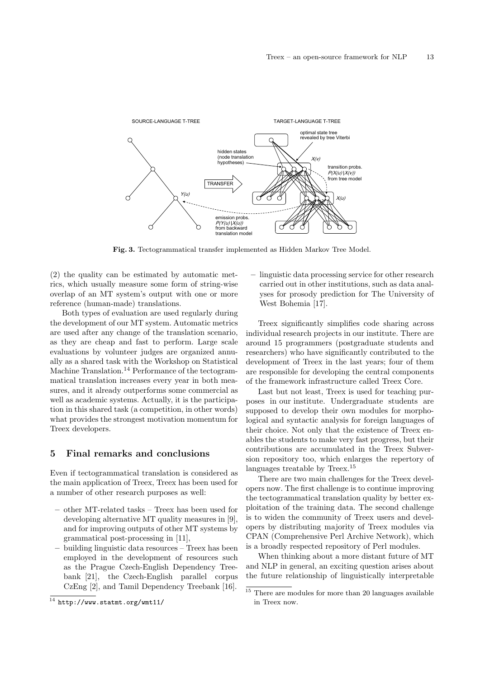

Fig. 3. Tectogrammatical transfer implemented as Hidden Markov Tree Model.

(2) the quality can be estimated by automatic metrics, which usually measure some form of string-wise overlap of an MT system's output with one or more reference (human-made) translations.

Both types of evaluation are used regularly during the development of our MT system. Automatic metrics are used after any change of the translation scenario, as they are cheap and fast to perform. Large scale evaluations by volunteer judges are organized annually as a shared task with the Workshop on Statistical Machine Translation.<sup>14</sup> Performance of the tectogrammatical translation increases every year in both measures, and it already outperforms some commercial as well as academic systems. Actually, it is the participation in this shared task (a competition, in other words) what provides the strongest motivation momentum for Treex developers.

# 5 Final remarks and conclusions

Even if tectogrammatical translation is considered as the main application of Treex, Treex has been used for a number of other research purposes as well:

- other MT-related tasks Treex has been used for developing alternative MT quality measures in [9], and for improving outputs of other MT systems by grammatical post-processing in [11],
- building linguistic data resources Treex has been employed in the development of resources such as the Prague Czech-English Dependency Treebank [21], the Czech-English parallel corpus CzEng [2], and Tamil Dependency Treebank [16].

– linguistic data processing service for other research carried out in other institutions, such as data analyses for prosody prediction for The University of West Bohemia [17].

Treex significantly simplifies code sharing across individual research projects in our institute. There are around 15 programmers (postgraduate students and researchers) who have significantly contributed to the development of Treex in the last years; four of them are responsible for developing the central components of the framework infrastructure called Treex Core.

Last but not least, Treex is used for teaching purposes in our institute. Undergraduate students are supposed to develop their own modules for morphological and syntactic analysis for foreign languages of their choice. Not only that the existence of Treex enables the students to make very fast progress, but their contributions are accumulated in the Treex Subversion repository too, which enlarges the repertory of languages treatable by Treex.<sup>15</sup>

There are two main challenges for the Treex developers now. The first challenge is to continue improving the tectogrammatical translation quality by better exploitation of the training data. The second challenge is to widen the community of Treex users and developers by distributing majority of Treex modules via CPAN (Comprehensive Perl Archive Network), which is a broadly respected repository of Perl modules.

When thinking about a more distant future of MT and NLP in general, an exciting question arises about the future relationship of linguistically interpretable

<sup>14</sup> http://www.statmt.org/wmt11/

 $15$  There are modules for more than 20 languages available in Treex now.